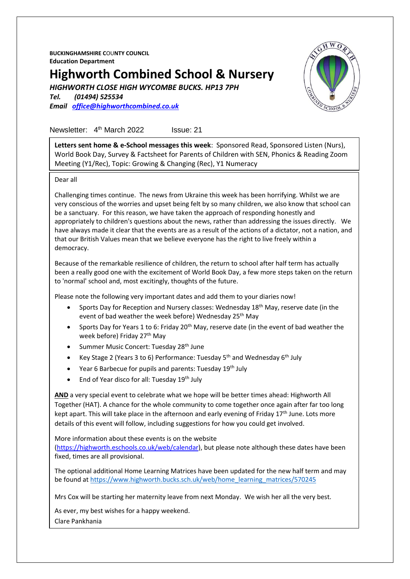**BUCKINGHAMSHIRE C**OU**NTY COUNCIL Education Department**

# **Highworth Combined School & Nursery**

*HIGHWORTH CLOSE HIGH WYCOMBE BUCKS. HP13 7PH*

*Tel. (01494) 525534 Email [office@highworthcombined.co.uk](mailto:office@highworthcombined.co.uk)*



Newsletter: 4<sup>th</sup> March 2022 Issue: 21

**Letters sent home & e-School messages this week**: Sponsored Read, Sponsored Listen (Nurs), World Book Day, Survey & Factsheet for Parents of Children with SEN, Phonics & Reading Zoom Meeting (Y1/Rec), Topic: Growing & Changing (Rec), Y1 Numeracy

Dear all

Challenging times continue. The news from Ukraine this week has been horrifying. Whilst we are very conscious of the worries and upset being felt by so many children, we also know that school can be a sanctuary. For this reason, we have taken the approach of responding honestly and appropriately to children's questions about the news, rather than addressing the issues directly. We have always made it clear that the events are as a result of the actions of a dictator, not a nation, and that our British Values mean that we believe everyone has the right to live freely within a democracy.

Because of the remarkable resilience of children, the return to school after half term has actually been a really good one with the excitement of World Book Day, a few more steps taken on the return to 'normal' school and, most excitingly, thoughts of the future.

Please note the following very important dates and add them to your diaries now!

- Sports Day for Reception and Nursery classes: Wednesday 18<sup>th</sup> May, reserve date (in the event of bad weather the week before) Wednesday 25th May
- Sports Day for Years 1 to 6: Friday 20<sup>th</sup> May, reserve date (in the event of bad weather the week before) Friday 27<sup>th</sup> May
- Summer Music Concert: Tuesday 28<sup>th</sup> June
- Key Stage 2 (Years 3 to 6) Performance: Tuesday 5<sup>th</sup> and Wednesday 6<sup>th</sup> July
- Year 6 Barbecue for pupils and parents: Tuesday 19<sup>th</sup> July
- End of Year disco for all: Tuesday 19<sup>th</sup> July

**AND** a very special event to celebrate what we hope will be better times ahead: Highworth All Together (HAT). A chance for the whole community to come together once again after far too long kept apart. This will take place in the afternoon and early evening of Friday  $17<sup>th</sup>$  June. Lots more details of this event will follow, including suggestions for how you could get involved.

More information about these events is on the website

[\(https://highworth.eschools.co.uk/web/calendar\)](https://highworth.eschools.co.uk/web/calendar), but please note although these dates have been fixed, times are all provisional.

The optional additional Home Learning Matrices have been updated for the new half term and may be found at [https://www.highworth.bucks.sch.uk/web/home\\_learning\\_matrices/570245](https://www.highworth.bucks.sch.uk/web/home_learning_matrices/570245)

Mrs Cox will be starting her maternity leave from next Monday. We wish her all the very best.

As ever, my best wishes for a happy weekend. Clare Pankhania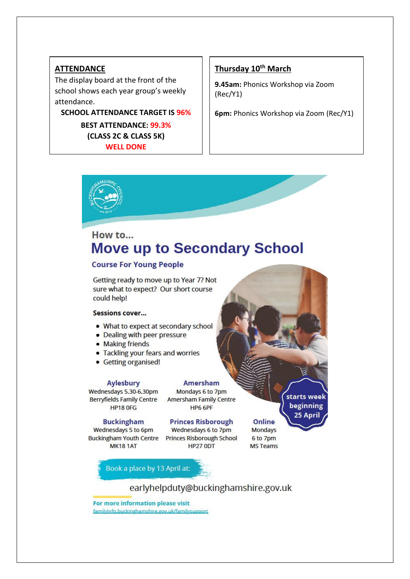## **ATTENDANCE**

The display board at the front of the school shows each year group's weekly attendance.

**SCHOOL ATTENDANCE TARGET IS 96%**

**BEST ATTENDANCE: 99.3% (CLASS 2C & CLASS 5K) WELL DONE**

## **Thursday 10th March**

**9.45am:** Phonics Workshop via Zoom (Rec/Y1)

**6pm:** Phonics Workshop via Zoom (Rec/Y1)



## How to... **Move up to Secondary School**

### **Course For Young People**

Getting ready to move up to Year 7? Not sure what to expect? Our short course could help!

#### **Sessions cover...**

- . What to expect at secondary school
- Dealing with peer pressure
- Making friends
- Tackling your fears and worries
- Getting organised!

#### **Aylesbury**

#### **Amersham** Mondays 6 to 7pm

Wednesdays 5.30-6.30pm Berryfields Family Centre Amersham Family Centre **HP18 OFG** 

#### **Buckingham**

Wednesdays 5 to 6pm Buckingham Youth Centre Princes Risborough School **MK181AT** 

**Princes Risborough** 

**HP6 6PF** 

Wednesdays 6 to 7pm **HP27 0DT** 

Online **Mondays** 6 to 7pm **MS Teams**  starts week

beginning

25 April

Book a place by 13 April at:

earlyhelpduty@buckinghamshire.gov.uk

For more information please visit

familyinfo.buckinghamshire.gov.uk/familysupport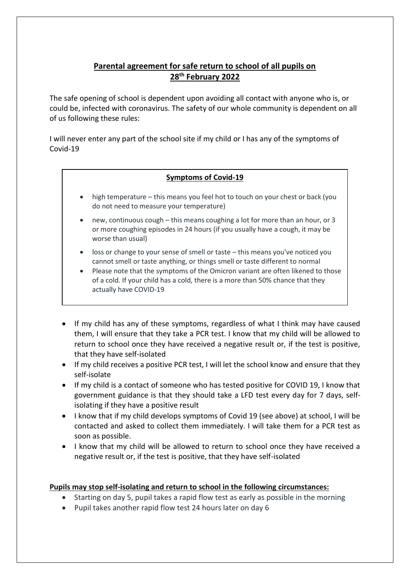## **Parental agreement for safe return to school of all pupils on 28th February 2022**

The safe opening of school is dependent upon avoiding all contact with anyone who is, or could be, infected with coronavirus. The safety of our whole community is dependent on all of us following these rules:

I will never enter any part of the school site if my child or I has any of the symptoms of Covid-19

## **Symptoms of Covid-19**

- high temperature this means you feel hot to touch on your chest or back (you do not need to measure your temperature)
- new, continuous cough this means coughing a lot for more than an hour, or 3 or more coughing episodes in 24 hours (if you usually have a cough, it may be worse than usual)
- loss or change to your sense of smell or taste this means you've noticed you cannot smell or taste anything, or things smell or taste different to normal
- Please note that the symptoms of the Omicron variant are often likened to those of a cold. If your child has a cold, there is a more than 50% chance that they actually have COVID-19
- If my child has any of these symptoms, regardless of what I think may have caused them, I will ensure that they take a PCR test. I know that my child will be allowed to return to school once they have received a negative result or, if the test is positive, that they have self-isolated
- If my child receives a positive PCR test, I will let the school know and ensure that they self-isolate
- If my child is a contact of someone who has tested positive for COVID 19, I know that government guidance is that they should take a LFD test every day for 7 days, selfisolating if they have a positive result
- I know that if my child develops symptoms of Covid 19 (see above) at school, I will be contacted and asked to collect them immediately. I will take them for a PCR test as soon as possible.
- I know that my child will be allowed to return to school once they have received a negative result or, if the test is positive, that they have self-isolated

## **Pupils may stop self-isolating and return to school in the following circumstances:**

- Starting on day 5, pupil takes a rapid flow test as early as possible in the morning
- Pupil takes another rapid flow test 24 hours later on day 6